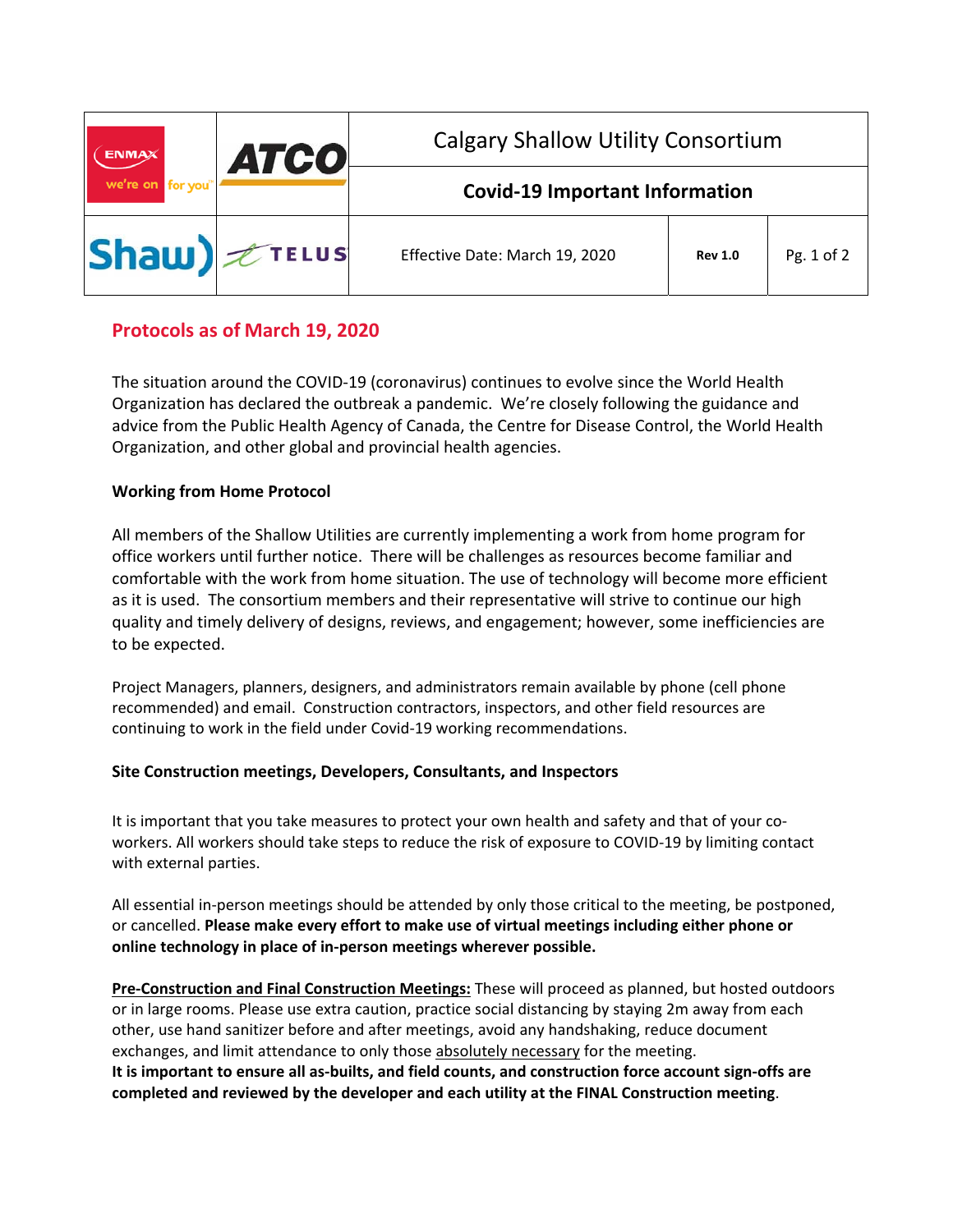| <b>ENMAX</b><br>we're on for you      | <b>ATCO</b> | <b>Calgary Shallow Utility Consortium</b> |                |            |
|---------------------------------------|-------------|-------------------------------------------|----------------|------------|
|                                       |             | <b>Covid-19 Important Information</b>     |                |            |
| $ \mathsf{Shaw})$ $\mathscr{L}$ TELUS |             | Effective Date: March 19, 2020            | <b>Rev 1.0</b> | Pg. 1 of 2 |

# **Protocols as of March 19, 2020**

The situation around the COVID‐19 (coronavirus) continues to evolve since the World Health Organization has declared the outbreak a pandemic. We're closely following the guidance and advice from the Public Health Agency of Canada, the Centre for Disease Control, the World Health Organization, and other global and provincial health agencies.

## **Working from Home Protocol**

All members of the Shallow Utilities are currently implementing a work from home program for office workers until further notice. There will be challenges as resources become familiar and comfortable with the work from home situation. The use of technology will become more efficient as it is used. The consortium members and their representative will strive to continue our high quality and timely delivery of designs, reviews, and engagement; however, some inefficiencies are to be expected.

Project Managers, planners, designers, and administrators remain available by phone (cell phone recommended) and email. Construction contractors, inspectors, and other field resources are continuing to work in the field under Covid‐19 working recommendations.

### **Site Construction meetings, Developers, Consultants, and Inspectors**

It is important that you take measures to protect your own health and safety and that of your co‐ workers. All workers should take steps to reduce the risk of exposure to COVID‐19 by limiting contact with external parties.

All essential in-person meetings should be attended by only those critical to the meeting, be postponed, or cancelled. **Please make every effort to make use of virtual meetings including either phone or online technology in place of in‐person meetings wherever possible.**

**Pre‐Construction and Final Construction Meetings:** These will proceed as planned, but hosted outdoors or in large rooms. Please use extra caution, practice social distancing by staying 2m away from each other, use hand sanitizer before and after meetings, avoid any handshaking, reduce document exchanges, and limit attendance to only those absolutely necessary for the meeting. **It is important to ensure all as‐builts, and field counts, and construction force account sign‐offs are completed and reviewed by the developer and each utility at the FINAL Construction meeting**.